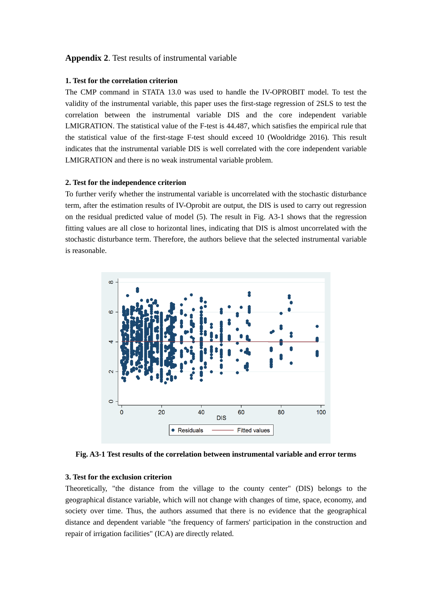### **Appendix 2**. Test results of instrumental variable

#### **1. Test for the correlation criterion**

The CMP command in STATA 13.0 was used to handle the IV-OPROBIT model. To test the validity of the instrumental variable, this paper uses the first-stage regression of 2SLS to test the correlation between the instrumental variable DIS and the core independent variable LMIGRATION. The statistical value of the F-test is 44.487, which satisfies the empirical rule that the statistical value of the first-stage F-test should exceed 10 (Wooldridge 2016). This result indicates that the instrumental variable DIS is well correlated with the core independent variable LMIGRATION and there is no weak instrumental variable problem.

### **2. Test for the independence criterion**

To further verify whether the instrumental variable is uncorrelated with the stochastic disturbance term, after the estimation results of IV-Oprobit are output, the DIS is used to carry out regression on the residual predicted value of model (5). The result in Fig. A3-1 shows that the regression fitting values are all close to horizontal lines, indicating that DIS is almost uncorrelated with the stochastic disturbance term. Therefore, the authors believe that the selected instrumental variable is reasonable.



**Fig. A3-1 Test results of the correlation between instrumental variable and error terms**

## **3. Test for the exclusion criterion**

Theoretically, "the distance from the village to the county center" (DIS) belongs to the geographical distance variable, which will not change with changes of time, space, economy, and society over time. Thus, the authors assumed that there is no evidence that the geographical distance and dependent variable "the frequency of farmers' participation in the construction and repair of irrigation facilities" (ICA) are directly related.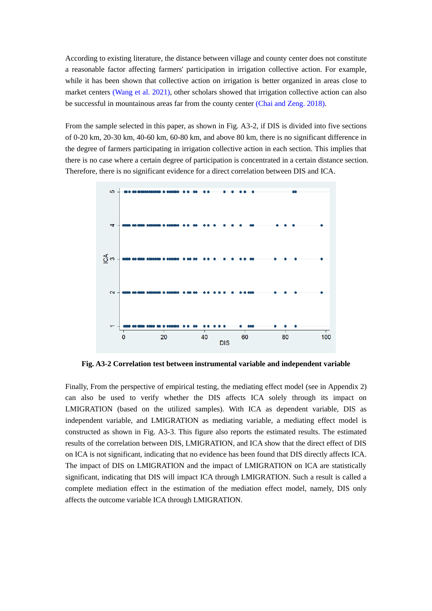According to existing literature, the distance between village and county center does not constitute a reasonable factor affecting farmers' participation in irrigation collective action. For example, while it has been shown that collective action on irrigation is better organized in areas close to market centers (Wang et al. 2021), other scholars showed that irrigation collective action can also be successful in mountainous areas far from the county center (Chai and Zeng. 2018).

From the sample selected in this paper, as shown in Fig. A3-2, if DIS is divided into five sections of 0-20 km, 20-30 km, 40-60 km, 60-80 km, and above 80 km, there is no significant difference in the degree of farmers participating in irrigation collective action in each section. This implies that there is no case where a certain degree of participation is concentrated in a certain distance section. Therefore, there is no significant evidence for a direct correlation between DIS and ICA.



**Fig. A3-2 Correlation test between instrumental variable and independent variable**

Finally, From the perspective of empirical testing, the mediating effect model (see in Appendix 2) can also be used to verify whether the DIS affects ICA solely through its impact on LMIGRATION (based on the utilized samples). With ICA as dependent variable, DIS as independent variable, and LMIGRATION as mediating variable, a mediating effect model is constructed as shown in Fig. A3-3. This figure also reports the estimated results. The estimated results of the correlation between DIS, LMIGRATION, and ICA show that the direct effect of DIS on ICA is not significant, indicating that no evidence has been found that DIS directly affects ICA. The impact of DIS on LMIGRATION and the impact of LMIGRATION on ICA are statistically significant, indicating that DIS will impact ICA through LMIGRATION. Such a result is called a complete mediation effect in the estimation of the mediation effect model, namely, DIS only affects the outcome variable ICA through LMIGRATION.